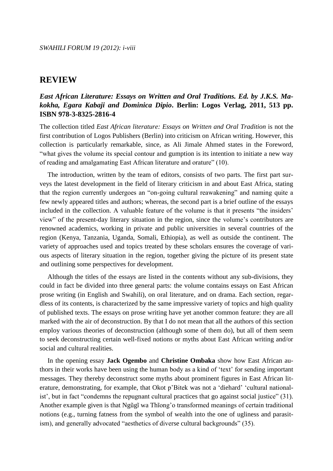# *East African Literature: Essays on Written and Oral Traditions. Ed. by J.K.S. Makokha, Egara Kabaji and Dominica Dipio***. Berlin: Logos Verlag, 2011, 513 pp. ISBN 978-3-8325-2816-4**

The collection titled *East African literature: Essays on Written and Oral Tradition* is not the first contribution of Logos Publishers (Berlin) into criticism on African writing. However, this collection is particularly remarkable, since, as Ali Jimale Ahmed states in the Foreword, "what gives the volume its special contour and gumption is its intention to initiate a new way of reading and amalgamating East African literature and orature" (10).

The introduction, written by the team of editors, consists of two parts. The first part surveys the latest development in the field of literary criticism in and about East Africa, stating that the region currently undergoes an "on-going cultural reawakening" and naming quite a few newly appeared titles and authors; whereas, the second part is a brief outline of the essays included in the collection. A valuable feature of the volume is that it presents "the insiders" view" of the present-day literary situation in the region, since the volume"s contributors are renowned academics, working in private and public universities in several countries of the region (Kenya, Tanzania, Uganda, Somali, Ethiopia), as well as outside the continent. The variety of approaches used and topics treated by these scholars ensures the coverage of various aspects of literary situation in the region, together giving the picture of its present state and outlining some perspectives for development.

Although the titles of the essays are listed in the contents without any sub-divisions, they could in fact be divided into three general parts: the volume contains essays on East African prose writing (in English and Swahili), on oral literature, and on drama. Each section, regardless of its contents, is characterized by the same impressive variety of topics and high quality of published texts. The essays on prose writing have yet another common feature: they are all marked with the air of deconstruction. By that I do not mean that all the authors of this section employ various theories of deconstruction (although some of them do), but all of them seem to seek deconstructing certain well-fixed notions or myths about East African writing and/or social and cultural realities.

In the opening essay **Jack Ogembo** and **Christine Ombaka** show how East African authors in their works have been using the human body as a kind of "text" for sending important messages. They thereby deconstruct some myths about prominent figures in East African literature, demonstrating, for example, that Okot p'Bitek was not a 'diehard' 'cultural nationalist', but in fact "condemns the repugnant cultural practices that go against social justice" (31). Another example given is that Ngũgĩ wa Thĩong"o transformed meanings of certain traditional notions (e.g., turning fatness from the symbol of wealth into the one of ugliness and parasitism), and generally advocated "aesthetics of diverse cultural backgrounds" (35).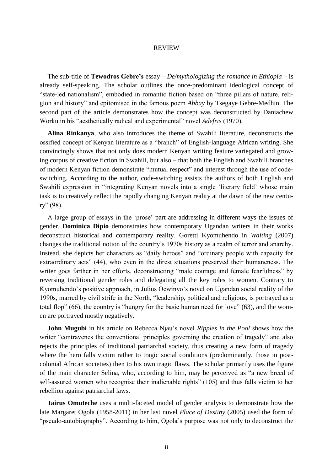The sub-title of **Tewodros Gebre's** essay – *De/mythologizing the romance in Ethiopia* – is already self-speaking. The scholar outlines the once-predominant ideological concept of "state-led nationalism", embodied in romantic fiction based on "three pillars of nature, religion and history" and epitomised in the famous poem *Abbay* by Tsegaye Gebre-Medhin. The second part of the article demonstrates how the concept was deconstructed by Daniachew Worku in his "aesthetically radical and experimental" novel *Adefris* (1970).

**Alina Rinkanya**, who also introduces the theme of Swahili literature, deconstructs the ossified concept of Kenyan literature as a "branch" of English-language African writing. She convincingly shows that not only does modern Kenyan writing feature variegated and growing corpus of creative fiction in Swahili, but also – that both the English and Swahili branches of modern Kenyan fiction demonstrate "mutual respect" and interest through the use of codeswitching. According to the author, code-switching assists the authors of both English and Swahili expression in "integrating Kenyan novels into a single "literary field" whose main task is to creatively reflect the rapidly changing Kenyan reality at the dawn of the new century" (98).

A large group of essays in the "prose" part are addressing in different ways the issues of gender. **Dominica Dipio** demonstrates how contemporary Ugandan writers in their works deconstruct historical and contemporary reality. Goretti Kyomuhendo in *Waiting* (2007) changes the traditional notion of the country"s 1970s history as a realm of terror and anarchy. Instead, she depicts her characters as "daily heroes" and "ordinary people with capacity for extraordinary acts" (44), who even in the direst situations preserved their humaneness. The writer goes farther in her efforts, deconstructing "male courage and female fearfulness" by reversing traditional gender roles and delegating all the key roles to women. Contrary to Kyomuhendo"s positive approach, in Julius Ocwinyo"s novel on Ugandan social reality of the 1990s, marred by civil strife in the North, "leadership, political and religious, is portrayed as a total flop" (66), the country is "hungry for the basic human need for love" (63), and the women are portrayed mostly negatively.

**John Mugubi** in his article on Rebecca Njau"s novel *Ripples in the Pool* shows how the writer "contravenes the conventional principles governing the creation of tragedy" and also rejects the principles of traditional patriarchal society, thus creating a new form of tragedy where the hero falls victim rather to tragic social conditions (predominantly, those in postcolonial African societies) then to his own tragic flaws. The scholar primarily uses the figure of the main character Selina, who, according to him, may be perceived as "a new breed of self-assured women who recognise their inalienable rights" (105) and thus falls victim to her rebellion against patriarchal laws.

**Jairus Omuteche** uses a multi-faceted model of gender analysis to demonstrate how the late Margaret Ogola (1958-2011) in her last novel *Place of Destiny* (2005) used the form of "pseudo-autobiography". According to him, Ogola"s purpose was not only to deconstruct the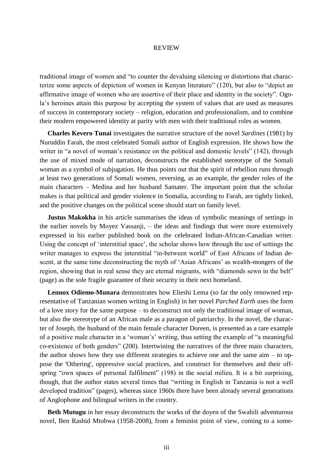traditional image of women and "to counter the devaluing silencing or distortions that characterize some aspects of depiction of women in Kenyan literature" (120), but also to "depict an affirmative image of women who are assertive of their place and identity in the society". Ogola"s heroines attain this purpose by accepting the system of values that are used as measures of success in contemporary society – religion, education and professionalism, and to combine their modern empowered identity at parity with men with their traditional roles as women.

**Charles Kevero Tunai** investigates the narrative structure of the novel *Sardines* (1981) by Nuruddin Farah, the most celebrated Somali author of English expression. He shows how the writer in "a novel of woman's resistance on the political and domestic levels" (142), through the use of mixed mode of narration, deconstructs the established stereotype of the Somali woman as a symbol of subjugation. He thus points out that the spirit of rebellion runs through at least two generations of Somali women, reversing, as an example, the gender roles of the main characters – Medina and her husband Samater. The important point that the scholar makes is that political and gender violence in Somalia, according to Farah, are tightly linked, and the positive changes on the political scene should start on family level.

**Justus Makokha** in his article summarises the ideas of symbolic meanings of settings in the earlier novels by Moyez Vassanji, – the ideas and findings that were more extensively expressed in his earlier published book on the celebrated Indian-African-Canadian writer. Using the concept of "interstitial space", the scholar shows how through the use of settings the writer manages to express the interstitial "in-between world" of East Africans of Indian descent, at the same time deconstructing the myth of 'Asian Africans' as wealth-mongers of the region, showing that in real sense they are eternal migrants, with "diamonds sewn in the belt" (page) as the sole fragile guarantee of their security in their next homeland.

**Lennox Odiemo-Munara** demonstrates how Elieshi Lema (so far the only renowned representative of Tanzanian women writing in English) in her novel *Parched Earth* uses the form of a love story for the same purpose – to deconstruct not only the traditional image of woman, but also the stereotype of an African male as a paragon of patriarchy. In the novel, the character of Joseph, the husband of the main female character Doreen, is presented as a rare example of a positive male character in a "woman"s" writing, thus setting the example of "a meaningful co-existence of both genders" (200). Intertwining the narratives of the three main characters, the author shows how they use different strategies to achieve one and the same aim – to oppose the 'Othering', oppressive social practices, and construct for themselves and their offspring "own spaces of personal fulfilment" (198) in the social milieu. It is a bit surprising, though, that the author states several times that "writing in English in Tanzania is not a well developed tradition" (pages), whereas since 1960s there have been already several generations of Anglophone and bilingual writers in the country.

**Beth Mutugu** in her essay deconstructs the works of the doyen of the Swahili adventurous novel, Ben Rashid Mtobwa (1958-2008), from a feminist point of view, coming to a some-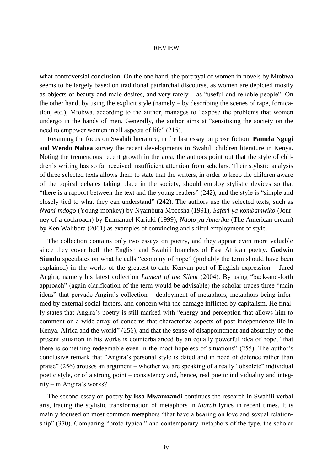what controversial conclusion. On the one hand, the portrayal of women in novels by Mtobwa seems to be largely based on traditional patriarchal discourse, as women are depicted mostly as objects of beauty and male desires, and very rarely – as "useful and reliable people". On the other hand, by using the explicit style (namely – by describing the scenes of rape, fornication, etc.), Mtobwa, according to the author, manages to "expose the problems that women undergo in the hands of men. Generally, the author aims at "sensitising the society on the need to empower women in all aspects of life" (215).

Retaining the focus on Swahili literature, in the last essay on prose fiction, **Pamela Ngugi** and **Wendo Nabea** survey the recent developments in Swahili children literature in Kenya. Noting the tremendous recent growth in the area, the authors point out that the style of children"s writing has so far received insufficient attention from scholars. Their stylistic analysis of three selected texts allows them to state that the writers, in order to keep the children aware of the topical debates taking place in the society, should employ stylistic devices so that "there is a rapport between the text and the young readers" (242), and the style is "simple and closely tied to what they can understand" (242). The authors use the selected texts, such as *Nyani mdogo* (Young monkey) by Nyambura Mpeesha (1991), *Safari ya kombamwiko* (Journey of a cockroach) by Emmanuel Kariuki (1999), *Ndoto ya Amerika* (The American dream) by Ken Walibora (2001) as examples of convincing and skilful employment of style.

The collection contains only two essays on poetry, and they appear even more valuable since they cover both the English and Swahili branches of East African poetry. **Godwin Siundu** speculates on what he calls "economy of hope" (probably the term should have been explained) in the works of the greatest-to-date Kenyan poet of English expression – Jared Angira, namely his latest collection *Lament of the Silent* (2004). By using "back-and-forth approach" (again clarification of the term would be advisable) the scholar traces three "main ideas" that pervade Angira"s collection – deployment of metaphors, metaphors being informed by external social factors, and concern with the damage inflicted by capitalism. He finally states that Angira"s poetry is still marked with "energy and perception that allows him to comment on a wide array of concerns that characterize aspects of post-independence life in Kenya, Africa and the world" (256), and that the sense of disappointment and absurdity of the present situation in his works is counterbalanced by an equally powerful idea of hope, "that there is something redeemable even in the most hopeless of situations" (255). The author"s conclusive remark that "Angira"s personal style is dated and in need of defence rather than praise" (256) arouses an argument – whether we are speaking of a really "obsolete" individual poetic style, or of a strong point – consistency and, hence, real poetic individuality and integrity – in Angira's works?

The second essay on poetry by **Issa Mwamzandi** continues the research in Swahili verbal arts, tracing the stylistic transformation of metaphors in *taarab* lyrics in recent times. It is mainly focused on most common metaphors "that have a bearing on love and sexual relationship" (370). Comparing "proto-typical" and contemporary metaphors of the type, the scholar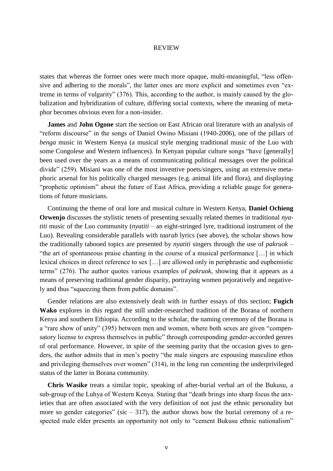states that whereas the former ones were much more opaque, multi-meaningful, "less offensive and adhering to the morals", the latter ones are more explicit and sometimes even "extreme in terms of vulgarity" (376). This, according to the author, is mainly caused by the globalization and hybridization of culture, differing social contexts, where the meaning of metaphor becomes obvious even for a non-insider.

**James** and **John Ogone** start the section on East African oral literature with an analysis of "reform discourse" in the songs of Daniel Owino Misiani (1940-2006), one of the pillars of *benga* music in Western Kenya (a musical style merging traditional music of the Luo with some Congolese and Western influences). In Kenyan popular culture songs "have [generally] been used over the years as a means of communicating political messages over the political divide" (259). Misiani was one of the most inventive poets/singers, using an extensive metaphoric arsenal for his politically charged messages (e.g. animal life and flora), and displaying "prophetic optimism" about the future of East Africa, providing a reliable gauge for generations of future musicians.

Continuing the theme of oral lore and musical culture in Western Kenya, **Daniel Ochieng Orwenjo** discusses the stylistic tenets of presenting sexually related themes in traditional *nyatiti* music of the Luo community (*nyatiti* – an eight-stringed lyre, traditional instrument of the Luo). Revealing considerable parallels with *taarab* lyrics (see above), the scholar shows how the traditionally tabooed topics are presented by *nyatiti* singers through the use of *pakruok* – "the art of spontaneous praise chanting in the course of a musical performance […] in which lexical choices in direct reference to sex […] are allowed only in periphrastic and euphemistic terms" (276). The author quotes various examples of *pakruok*, showing that it appears as a means of preserving traditional gender disparity, portraying women pejoratively and negatively and thus "squeezing them from public domains".

Gender relations are also extensively dealt with in further essays of this section; **Fugich Wako** explores in this regard the still under-researched tradition of the Borana of northern Kenya and southern Ethiopia. According to the scholar, the naming ceremony of the Borana is a "rare show of unity" (395) between men and women, where both sexes are given "compensatory license to express themselves in public" through corresponding gender-accorded genres of oral performance. However, in spite of the seeming parity that the occasion gives to genders, the author admits that in men"s poetry "the male singers are espousing masculine ethos and privileging themselves over women" (314), in the long run cementing the underprivileged status of the latter in Borana community.

**Chris Wasike** treats a similar topic, speaking of after-burial verbal art of the Bukusu, a sub-group of the Luhya of Western Kenya. Stating that "death brings into sharp focus the anxieties that are often associated with the very definition of not just the ethnic personality but more so gender categories" (sic  $-317$ ), the author shows how the burial ceremony of a respected male elder presents an opportunity not only to "cement Bukusu ethnic nationalism"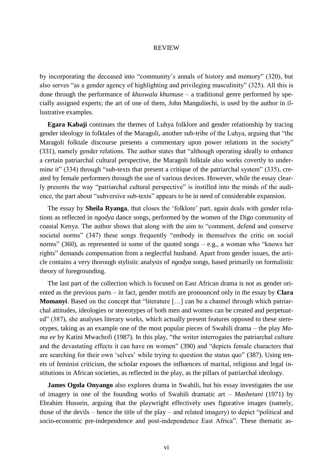by incorporating the deceased into "community"s annals of history and memory" (320), but also serves "as a gender agency of highlighting and privileging masculinity" (325). All this is done through the performance of *khuswala khumuse* – a traditional genre performed by specially assigned experts; the art of one of them, John Manguliechi, is used by the author in illustrative examples.

**Egara Kabaji** continues the themes of Luhya folklore and gender relationship by tracing gender ideology in folktales of the Maragoli, another sub-tribe of the Luhya, arguing that "the Maragoli folktale discourse presents a commentary upon power relations in the society" (331), namely gender relations. The author states that "although operating ideally to enhance a certain patriarchal cultural perspective, the Maragoli folktale also works covertly to undermine it" (334) through "sub-texts that present a critique of the patriarchal system" (335), created by female performers through the use of various devices. However, while the essay clearly presents the way "patriarchal cultural perspective" is instilled into the minds of the audience, the part about "subversive sub-texts" appears to be in need of considerable expansion.

The essay by **Sheila Ryanga**, that closes the "folklore" part, again deals with gender relations as reflected in *ngodya* dance songs, performed by the women of the Digo community of coastal Kenya. The author shows that along with the aim to "comment, defend and conserve societal norms" (347) these songs frequently "embody in themselves the critic on social norms" (360), as represented in some of the quoted songs – e.g., a woman who "knows her rights" demands compensation from a neglectful husband. Apart from gender issues, the article contains a very thorough stylistic analysis of *ngodya* songs, based primarily on formalistic theory of foregrounding.

The last part of the collection which is focused on East African drama is not as gender oriented as the previous parts – in fact, gender motifs are pronounced only in the essay by **Clara Momanyi**. Based on the concept that "literature […] can be a channel through which patriarchal attitudes, ideologies or stereotypes of both men and women can be created and perpetuated" (387), she analyses literary works, which actually present features opposed to these stereotypes, taking as an example one of the most popular pieces of Swahili drama – the play *Mama ee* by Katini Mwachofi (1987). In this play, "the writer interrogates the patriarchal culture and the devastating effects it can have on women" (390) and "depicts female characters that are searching for their own 'selves' while trying to question the status quo" (387). Using tenets of feminist criticism, the scholar exposes the influences of marital, religious and legal institutions in African societies, as reflected in the play, as the pillars of patriarchal ideology.

**James Ogola Onyango** also explores drama in Swahili, but his essay investigates the use of imagery in one of the founding works of Swahili dramatic art – *Mashetani* (1971) by Ebrahim Hussein, arguing that the playwright effectively uses figurative images (namely, those of the devils – hence the title of the play – and related imagery) to depict "political and socio-economic pre-independence and post-independence East Africa". These thematic as-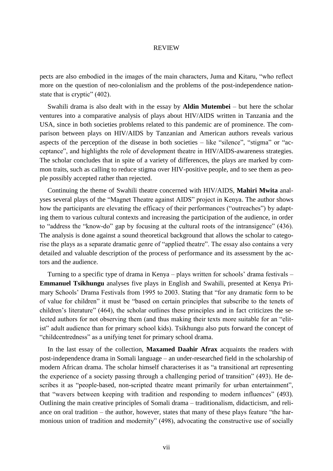pects are also embodied in the images of the main characters, Juma and Kitaru, "who reflect more on the question of neo-colonialism and the problems of the post-independence nationstate that is cryptic" (402).

Swahili drama is also dealt with in the essay by **Aldin Mutembei** – but here the scholar ventures into a comparative analysis of plays about HIV/AIDS written in Tanzania and the USA, since in both societies problems related to this pandemic are of prominence. The comparison between plays on HIV/AIDS by Tanzanian and American authors reveals various aspects of the perception of the disease in both societies – like "silence", "stigma" or "acceptance", and highlights the role of development theatre in HIV/AIDS-awareness strategies. The scholar concludes that in spite of a variety of differences, the plays are marked by common traits, such as calling to reduce stigma over HIV-positive people, and to see them as people possibly accepted rather than rejected.

Continuing the theme of Swahili theatre concerned with HIV/AIDS, **Mahiri Mwita** analyses several plays of the "Magnet Theatre against AIDS" project in Kenya. The author shows how the participants are elevating the efficacy of their performances ("outreaches") by adapting them to various cultural contexts and increasing the participation of the audience, in order to "address the "know-do" gap by focusing at the cultural roots of the intransigence" (436). The analysis is done against a sound theoretical background that allows the scholar to categorise the plays as a separate dramatic genre of "applied theatre". The essay also contains a very detailed and valuable description of the process of performance and its assessment by the actors and the audience.

Turning to a specific type of drama in Kenya – plays written for schools" drama festivals – **Emmanuel Tsikhungu** analyses five plays in English and Swahili, presented at Kenya Primary Schools" Drama Festivals from 1995 to 2003. Stating that "for any dramatic form to be of value for children" it must be "based on certain principles that subscribe to the tenets of children"s literature" (464), the scholar outlines these principles and in fact criticizes the selected authors for not observing them (and thus making their texts more suitable for an "elitist" adult audience than for primary school kids). Tsikhungu also puts forward the concept of "childcentredness" as a unifying tenet for primary school drama.

In the last essay of the collection, **Maxamed Daahir Afrax** acquaints the readers with post-independence drama in Somali language – an under-researched field in the scholarship of modern African drama. The scholar himself characterises it as "a transitional art representing the experience of a society passing through a challenging period of transition" (493). He describes it as "people-based, non-scripted theatre meant primarily for urban entertainment", that "wavers between keeping with tradition and responding to modern influences" (493). Outlining the main creative principles of Somali drama – traditionalism, didacticism, and reliance on oral tradition – the author, however, states that many of these plays feature "the harmonious union of tradition and modernity" (498), advocating the constructive use of socially